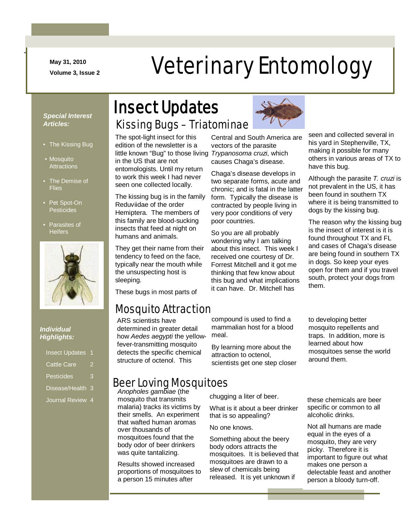**May 31, 2010**

-

# May 31, 2010<br>Veterinary Entomology

#### *Special Interest Articles:*

- The Kissing Bug
- Mosauito **Attractions**
- The Demise of **Flies**
- Pet Spot-On Pesticides
- Parasites of **Heifers**



#### *Individual Highlights:*

| <b>Insect Updates</b> | 1 |
|-----------------------|---|
| <b>Cattle Care</b>    |   |
| <b>Pesticides</b>     | R |
| Disease/Health 3      |   |
| Journal Review 4      |   |

### Kissing Bugs – Triatominae Insect Updates

The spot-light insect for this edition of the newsletter is a little known "Bug" to those living *Trypanosoma cruzi*, which in the US that are not entomologists. Until my return to work this week I had never seen one collected locally.

The kissing bug is in the family Reduviidae of the order Hemiptera. The members of this family are blood-sucking insects that feed at night on humans and animals.

They get their name from their tendency to feed on the face, typically near the mouth while the unsuspecting host is sleeping.

These bugs in most parts of

### Mosquito Attraction

ARS scientists have determined in greater detail how *Aedes aegypti* the yellowfever-transmitting mosquito detects the specific chemical structure of octenol. This



Central and South America are vectors of the parasite causes Chaga's disease.

Chaga's disease develops in two separate forms, acute and chronic; and is fatal in the latter form. Typically the disease is contracted by people living in very poor conditions of very poor countries.

So you are all probably wondering why I am talking about this insect. This week I received one courtesy of Dr. Forrest Mitchell and it got me thinking that few know about this bug and what implications it can have. Dr. Mitchell has

seen and collected several in his yard in Stephenville, TX, making it possible for many others in various areas of TX to have this bug.

Although the parasite *T. cruzi* is not prevalent in the US, it has been found in southern TX where it is being transmitted to dogs by the kissing bug.

The reason why the kissing bug is the insect of interest is it is found throughout TX and FL and cases of Chaga's disease are being found in southern TX in dogs. So keep your eyes open for them and if you travel south, protect your dogs from them.

compound is used to find a mammalian host for a blood meal.

By learning more about the attraction to octenol, scientists get one step closer

### Beer Loving Mosquitoes

*Anopholes gambiae* (the mosquito that transmits malaria) tracks its victims by their smells. An experiment that wafted human aromas over thousands of mosquitoes found that the body odor of beer drinkers was quite tantalizing.

Results showed increased proportions of mosquitoes to a person 15 minutes after

chugging a liter of beer.

What is it about a beer drinker that is so appealing?

No one knows.

Something about the beery body odors attracts the mosquitoes. It is believed that mosquitoes are drawn to a slew of chemicals being released. It is yet unknown if

mosquito repellents and traps. In addition, more is learned about how mosquitoes sense the world around them.

to developing better

these chemicals are beer specific or common to all alcoholic drinks.

Not all humans are made equal in the eyes of a mosquito, they are very picky. Therefore it is important to figure out what makes one person a delectable feast and another person a bloody turn-off.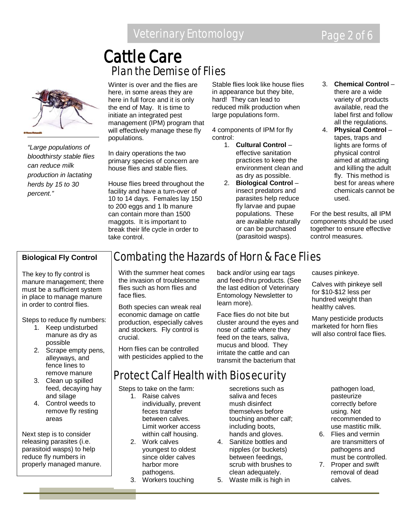### Plan the Demise of Flies Cattle Care



*"Large populations of bloodthirsty stable flies can reduce milk production in lactating herds by 15 to 30 percent."*

Winter is over and the flies are here, in some areas they are here in full force and it is only the end of May. It is time to initiate an integrated pest management (IPM) program that will effectively manage these fly populations.

In dairy operations the two primary species of concern are house flies and stable flies.

House flies breed throughout the facility and have a turn-over of 10 to 14 days. Females lay 150 to 200 eggs and 1 lb manure can contain more than 1500 maggots. It is important to break their life cycle in order to take control.

Stable flies look like house flies in appearance but they bite, hard! They can lead to reduced milk production when large populations form.

4 components of IPM for fly control:

- 1. **Cultural Control** effective sanitation practices to keep the environment clean and as dry as possible.
- 2. **Biological Control** insect predators and parasites help reduce fly larvae and pupae populations. These are available naturally or can be purchased (parasitoid wasps).
- 3. **Chemical Control** there are a wide variety of products available, read the label first and follow all the regulations.
- 4. **Physical Control** tapes, traps and lights are forms of physical control aimed at attracting and killing the adult fly. This method is best for areas where chemicals cannot be used.

For the best results, all IPM components should be used together to ensure effective control measures.

#### **Biological Fly Control**

The key to fly control is manure management; there must be a sufficient system in place to manage manure in order to control flies.

Steps to reduce fly numbers:

- 1. Keep undisturbed manure as dry as possible
- 2. Scrape empty pens, alleyways, and fence lines to remove manure
- 3. Clean up spilled feed, decaying hay and silage
- 4. Control weeds to remove fly resting areas

Next step is to consider releasing parasites (i.e. parasitoid wasps) to help reduce fly numbers in properly managed manure.

### Combating the Hazards of Horn & Face Flies

Protect Calf Health with Biosecurity

With the summer heat comes the invasion of troublesome flies such as horn flies and face flies.

Both species can wreak real economic damage on cattle production, especially calves and stockers. Fly control is crucial.

Horn flies can be controlled with pesticides applied to the

Steps to take on the farm: 1. Raise calves

2. Work calves

individually, prevent feces transfer between calves. Limit worker access within calf housing.

youngest to oldest since older calves harbor more pathogens. 3. Workers touching

back and/or using ear tags and feed-thru products. (See the last edition of Veterinary Entomology Newsletter to learn more).

Face flies do not bite but cluster around the eyes and nose of cattle where they feed on the tears, saliva, mucus and blood. They irritate the cattle and can transmit the bacterium that

causes pinkeye.

Calves with pinkeye sell for \$10-\$12 less per hundred weight than healthy calves.

Many pesticide products marketed for horn flies will also control face flies.

secretions such as saliva and feces mush disinfect themselves before touching another calf; including boots, hands and gloves.

- 4. Sanitize bottles and nipples (or buckets) between feedings, scrub with brushes to clean adequately.
- 5. Waste milk is high in

pathogen load, pasteurize correctly before using. Not recommended to use mastitic milk.

- 6. Flies and vermin are transmitters of pathogens and must be controlled.
- 7. Proper and swift removal of dead calves.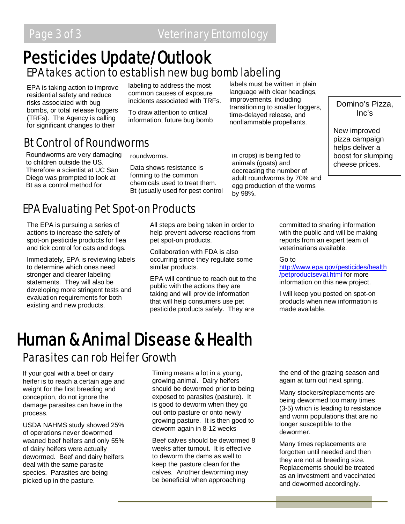### EPA takes action to establish new bug bomb labeling Pesticides Update/Outlook

EPA is taking action to improve residential safety and reduce risks associated with bug bombs, or total release foggers (TRFs). The Agency is calling for significant changes to their

labeling to address the most common causes of exposure incidents associated with TRFs.

To draw attention to critical information, future bug bomb labels must be written in plain language with clear headings, improvements, including transitioning to smaller foggers, time-delayed release, and nonflammable propellants.

### Bt Control of Roundworms

Roundworms are very damaging to children outside the US. Therefore a scientist at UC San Diego was prompted to look at Bt as a control method for

roundworms.

Data shows resistance is forming to the common chemicals used to treat them. Bt (usually used for pest control

in crops) is being fed to animals (goats) and decreasing the number of adult roundworms by 70% and egg production of the worms by 98%.

Domino's Pizza, Inc's

New improved pizza campaign helps deliver a boost for slumping cheese prices.

### EPA Evaluating Pet Spot-on Products

The EPA is pursuing a series of actions to increase the safety of spot-on pesticide products for flea and tick control for cats and dogs.

Immediately, EPA is reviewing labels to determine which ones need stronger and clearer labeling statements. They will also be developing more stringent tests and evaluation requirements for both existing and new products.

All steps are being taken in order to help prevent adverse reactions from pet spot-on products.

Collaboration with FDA is also occurring since they regulate some similar products.

EPA will continue to reach out to the public with the actions they are taking and will provide information that will help consumers use pet pesticide products safely. They are

committed to sharing information with the public and will be making reports from an expert team of veterinarians available.

Go to

[http://www.epa.gov/pesticides/health](http://www.epa.gov/pesticides/health/petproductseval.html) [/petproductseval.html](http://www.epa.gov/pesticides/health/petproductseval.html) for more information on this new project.

I will keep you posted on spot-on products when new information is made available.

# Parasites can rob Heifer Growth Human & Animal Disease & Health

If your goal with a beef or dairy heifer is to reach a certain age and weight for the first breeding and conception, do not ignore the damage parasites can have in the process.

USDA NAHMS study showed 25% of operations never dewormed weaned beef heifers and only 55% of dairy heifers were actually dewormed. Beef and dairy heifers deal with the same parasite species. Parasites are being picked up in the pasture.

Timing means a lot in a young, growing animal. Dairy heifers should be dewormed prior to being exposed to parasites (pasture). It is good to deworm when they go out onto pasture or onto newly growing pasture. It is then good to deworm again in 8-12 weeks

Beef calves should be dewormed 8 weeks after turnout. It is effective to deworm the dams as well to keep the pasture clean for the calves. Another deworming may be beneficial when approaching

the end of the grazing season and again at turn out next spring.

Many stockers/replacements are being dewormed too many times (3-5) which is leading to resistance and worm populations that are no longer susceptible to the dewormer.

Many times replacements are forgotten until needed and then they are not at breeding size. Replacements should be treated as an investment and vaccinated and dewormed accordingly.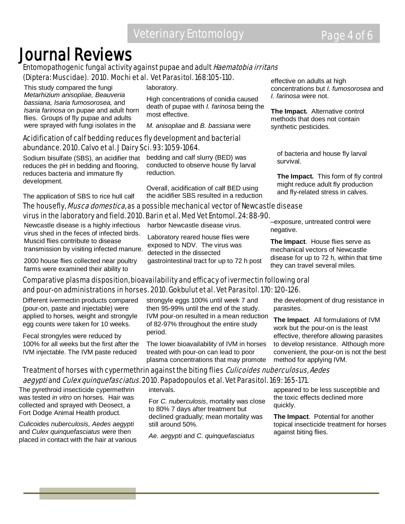## **Journal Reviews**<br>Entomopathogenic fungal activity against pupae and adult *Haematobia irritans* (Diptera: Muscidae). 2010. Mochi et al. Vet Parasitol. 168:105-110.

This study compared the fungi *Metarhizium anisopliae, Beauveria bassiana, Isaria fumosorosea,* and *Isaria farinosa* on pupae and adult horn flies. Groups of fly pupae and adults were sprayed with fungi isolates in the

laboratory.

High concentrations of conidia caused death of pupae with *I. farinosa* being the most effective.

*M. anisopliae* and *B. bassiana* were

#### Acidification of calf bedding reduces fly development and bacterial abundance. 2010. Calvo et al. J Dairy Sci. 93: 1059-1064.

Sodium bisulfate (SBS), an acidifier that reduces the pH in bedding and flooring, reduces bacteria and immature fly development.

The application of SBS to rice hull calf

bedding and calf slurry (BED) was conducted to observe house fly larval reduction.

Overall, acidification of calf BED using the acidifier SBS resulted in a reduction effective on adults at high concentrations but *I. fumosorosea* and *I. farinosa* were not.

**The Impact.** Alternative control methods that does not contain synthetic pesticides.

of bacteria and house fly larval survival.

**The Impact.** This form of fly control might reduce adult fly production and fly-related stress in calves.

#### The housefly, *Musca domestica*, as a possible mechanical vector of Newcastle disease virus in the laboratory and field. 2010. Barin et al. Med Vet Entomol. 24: 88-90.

Newcastle disease is a highly infectious virus shed in the feces of infected birds. Muscid flies contribute to disease transmission by visiting infected manure.

2000 house flies collected near poultry farms were examined their ability to

harbor Newcastle disease virus.

Laboratory reared house flies were exposed to NDV. The virus was detected in the dissected gastrointestinal tract for up to 72 h post

–exposure, untreated control were negative.

**The Impact**. House flies serve as mechanical vectors of Newcastle disease for up to 72 h, within that time they can travel several miles.

#### Comparative plasma disposition, bioavailability and efficacy of ivermectin following oral and pour-on administrations in horses. 2010. Gokbulut et al. Vet Parasitol. 170: 120-126.

Different ivermectin products compared (pour-on, paste and injectable) were applied to horses, weight and strongyle egg counts were taken for 10 weeks.

Fecal strongyles were reduced by 100% for all weeks but the first after the IVM injectable. The IVM paste reduced

strongyle eggs 100% until week 7 and then 95-99% until the end of the study. IVM pour-on resulted in a mean reduction of 82-97% throughout the entire study period.

The lower bioavailability of IVM in horses treated with pour-on can lead to poor plasma concentrations that may promote the development of drug resistance in parasites.

**The Impact**. All formulations of IVM work but the pour-on is the least effective, therefore allowing parasites to develop resistance. Although more convenient, the pour-on is not the best method for applying IVM.

### Treatment of horses with cypermethrin against the biting flies Culicoides nuberculosus, Aedes

#### aegypti and *Culex quinquefasciatus*. 2010. Papadopoulos et al. Vet Parasitol. 169: 165-171.

The pyrethroid insecticide cypermethrin was tested *in vitro* on horses. Hair was collected and sprayed with Deosect, a Fort Dodge Animal Health product.

*Culicoides nuberculosis, Aedes aegypti*  and *Culex quinquefasciatus* were then placed in contact with the hair at various intervals.

For *C. nuberculosis*, mortality was close to 80% 7 days after treatment but declined gradually; mean mortality was still around 50%.

*Ae. aegypti* and *C. quinquefasciatus*

appeared to be less susceptible and the toxic effects declined more quickly.

**The Impact**. Potential for another topical insecticide treatment for horses against biting flies.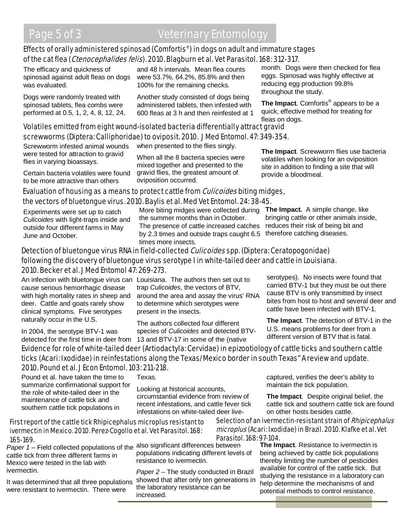#### Effects of orally administered spinosad (Comfortis®) in dogs on adult and immature stages of the cat flea (Ctenocephalides felis). 2010. Blagburn et al. Vet Parasitol. 168: 312-317.

The efficacy and quickness of spinosad against adult fleas on dogs was evaluated.

Dogs were randomly treated with spinosad tablets, flea combs were performed at 0.5, 1, 2, 4, 8, 12, 24, and 48 h intervals. Mean flea counts were 53.7%, 64.2%, 85.8% and then 100% for the remaining checks.

Another study consisted of dogs being administered tablets, then infested with 600 fleas at 3 h and then reinfested at 1 month. Dogs were then checked for flea eggs. Spinosad was highly effective at reducing egg production 99.8% throughout the study.

**The Impact**. Comfortis® appears to be a quick, effective method for treating for fleas on dogs.

#### Volatiles emitted from eight wound-isolated bacteria differentially attract gravid screwworms (Diptera: Calliphoridae) to oviposit. 2010. J Med Entomol. 47: 349-354.

Screwworm infested animal wounds were tested for attraction to gravid flies in varying bioassays.

Certain bacteria volatiles were found to be more attractive than others

when presented to the flies singly.

When all the 8 bacteria species were mixed together and presented to the gravid flies, the greatest amount of oviposition occurred.

**The Impact**. Screwworm flies use bacteria volatiles when looking for an oviposition site in addition to finding a site that will provide a bloodmeal.

#### Evaluation of housing as a means to protect cattle from *Culicoides* biting midges, the vectors of bluetongue virus. 2010. Baylis et al. Med Vet Entomol. 24: 38-45.

Experiments were set up to catch *Culicoides* with light-traps inside and outside four different farms in May June and October.

More biting midges were collected during the summer months than in October. The presence of cattle increased catches by 2.3 times and outside traps caught 6.5 times more insects.

**The Impact.** A simple change, like bringing cattle or other animals inside, reduces their risk of being bit and therefore catching diseases.

#### Detection of bluetongue virus RNA in field-collected *Culicoides* spp. (Diptera: Ceratopogonidae) following the discovery of bluetongue virus serotype I in white-tailed deer and cattle in Louisiana. 2010. Becker et al. J Med Entomol 47: 269-273.

cause serious hemorrhagic disease with high mortality rates in sheep and deer. Cattle and goats rarely show clinical symptoms. Five serotypes naturally occur in the U.S.

An infection with bluetongue virus can Louisiana. The authors then set out to trap *Culicoides*, the vectors of BTV, around the area and assay the virus' RNA to determine which serotypes were present in the insects.

In 2004, the serotype BTV-1 was

detected for the first time in deer from 13 and BTV-17 in some of the (native The authors collected four different species of *Culicoides* and detected BTV- serotypes). No insects were found that carried BTV-1 but they must be out there cause BTV is only transmitted by insect bites from host to host and several deer and cattle have been infected with BTV-1.

**The Impact**. The detection of BTV-1 in the U.S. means problems for deer from a different version of BTV that is fatal.

#### Evidence for role of white-tailed deer (Artiodactyla: Cervidae) in epizootiology of cattle ticks and southern cattle ticks (Acari: Ixodidae) in reinfestations along the Texas/Mexico border in south Texas" A review and update. 2010. Pound et al. J Econ Entomol. 103: 211-218.

Pound et al. have taken the time to summarize confirmational support for the role of white-tailed deer in the maintenance of cattle tick and southern cattle tick populations in

Texas.

Looking at historical accounts, circumstantial evidence from review of recent infestations, and cattle fever tick infestations on white-tailed deer live-

#### First report of the cattle tick Rhipicephalus microplus resistant to ivermectin in Mexico. 2010. Perez-Cogollo et al. Vet Parasitol. 168: 165-169.

Paper 1 – Field collected populations of the also significant differences between cattle tick from three different farms in Mexico were tested in the lab with ivermectin.

were resistant to ivermectin. There were

populations indicating different levels of resistance to ivermectin.

It was determined that all three populations showed that after only ten generations in *Paper 2 –* The study conducted in Brazil the laboratory resistance can be increased.

#### cattle tick and southern cattle tick are found on other hosts besides cattle. Selection of an ivermectin-resistant strain of Rhipicephalus microplus (Acari: Ixodidae) in Brazil. 2010. Klafke et al. Vet

maintain the tick population.

captured, verifies the deer's ability to

**The Impact**. Despite original belief, the

#### Parasitol. 168: 97-104.

**The Impact**. Resistance to ivermectin is being achieved by cattle tick populations thereby limiting the number of pesticides available for control of the cattle tick. But studying the resistance in a laboratory can help determine the mechanisms of and potential methods to control resistance.